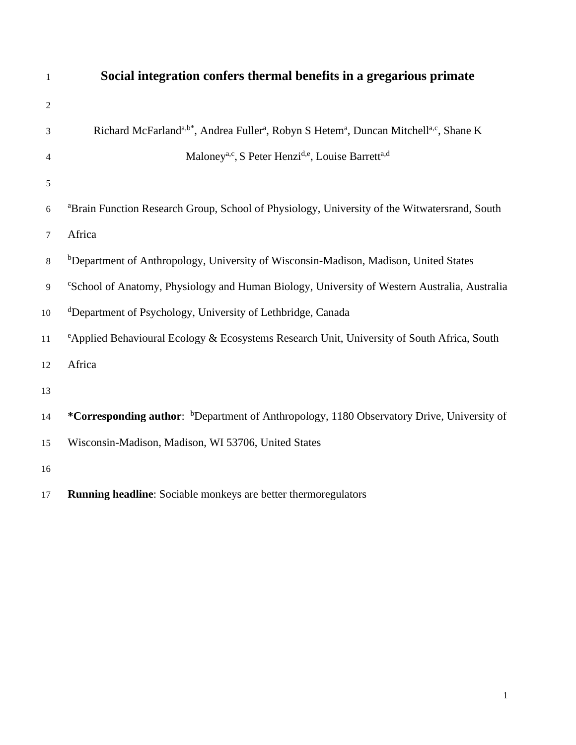| $\mathbf{1}$   | Social integration confers thermal benefits in a gregarious primate                                                                    |
|----------------|----------------------------------------------------------------------------------------------------------------------------------------|
| $\mathfrak{2}$ |                                                                                                                                        |
| 3              | Richard McFarland <sup>a,b*</sup> , Andrea Fuller <sup>a</sup> , Robyn S Hetem <sup>a</sup> , Duncan Mitchell <sup>a,c</sup> , Shane K |
| $\overline{4}$ | Maloney <sup>a,c</sup> , S Peter Henzi <sup>d,e</sup> , Louise Barrett <sup>a,d</sup>                                                  |
| 5              |                                                                                                                                        |
| $6\,$          | <sup>a</sup> Brain Function Research Group, School of Physiology, University of the Witwatersrand, South                               |
| 7              | Africa                                                                                                                                 |
| 8              | <sup>b</sup> Department of Anthropology, University of Wisconsin-Madison, Madison, United States                                       |
| 9              | <sup>c</sup> School of Anatomy, Physiology and Human Biology, University of Western Australia, Australia                               |
| $10\,$         | <sup>d</sup> Department of Psychology, University of Lethbridge, Canada                                                                |
| 11             | <sup>e</sup> Applied Behavioural Ecology & Ecosystems Research Unit, University of South Africa, South                                 |
| 12             | Africa                                                                                                                                 |
| 13             |                                                                                                                                        |
| 14             | *Corresponding author: <sup>b</sup> Department of Anthropology, 1180 Observatory Drive, University of                                  |
| 15             | Wisconsin-Madison, Madison, WI 53706, United States                                                                                    |
| 16             |                                                                                                                                        |
| 17             | Running headline: Sociable monkeys are better thermoregulators                                                                         |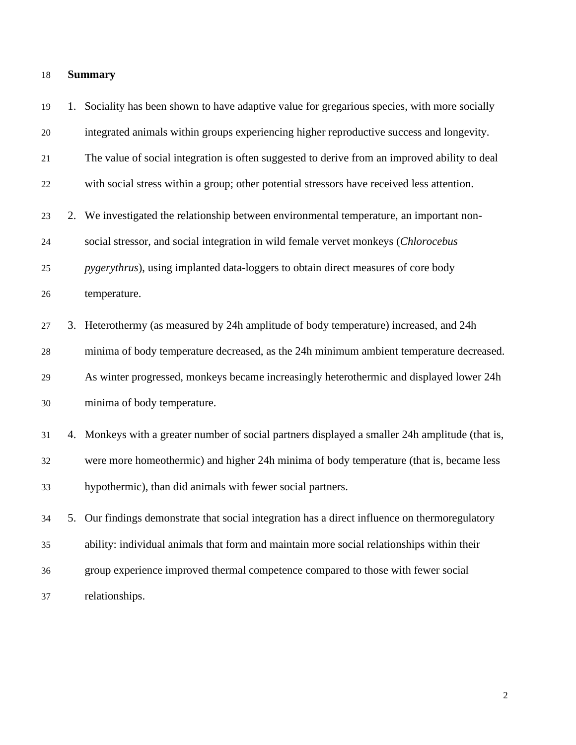## **Summary**

 1. Sociality has been shown to have adaptive value for gregarious species, with more socially integrated animals within groups experiencing higher reproductive success and longevity. The value of social integration is often suggested to derive from an improved ability to deal with social stress within a group; other potential stressors have received less attention. 2. We investigated the relationship between environmental temperature, an important non- social stressor, and social integration in wild female vervet monkeys (*Chlorocebus pygerythrus*), using implanted data-loggers to obtain direct measures of core body temperature. 3. Heterothermy (as measured by 24h amplitude of body temperature) increased, and 24h minima of body temperature decreased, as the 24h minimum ambient temperature decreased. As winter progressed, monkeys became increasingly heterothermic and displayed lower 24h minima of body temperature. 4. Monkeys with a greater number of social partners displayed a smaller 24h amplitude (that is, were more homeothermic) and higher 24h minima of body temperature (that is, became less hypothermic), than did animals with fewer social partners. 5. Our findings demonstrate that social integration has a direct influence on thermoregulatory ability: individual animals that form and maintain more social relationships within their group experience improved thermal competence compared to those with fewer social relationships.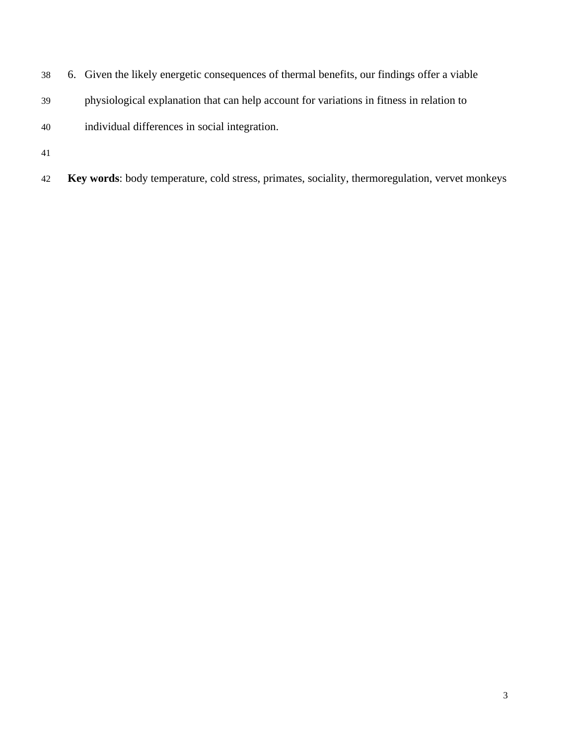- 6. Given the likely energetic consequences of thermal benefits, our findings offer a viable
- physiological explanation that can help account for variations in fitness in relation to
- individual differences in social integration.
- 
- **Key words**: body temperature, cold stress, primates, sociality, thermoregulation, vervet monkeys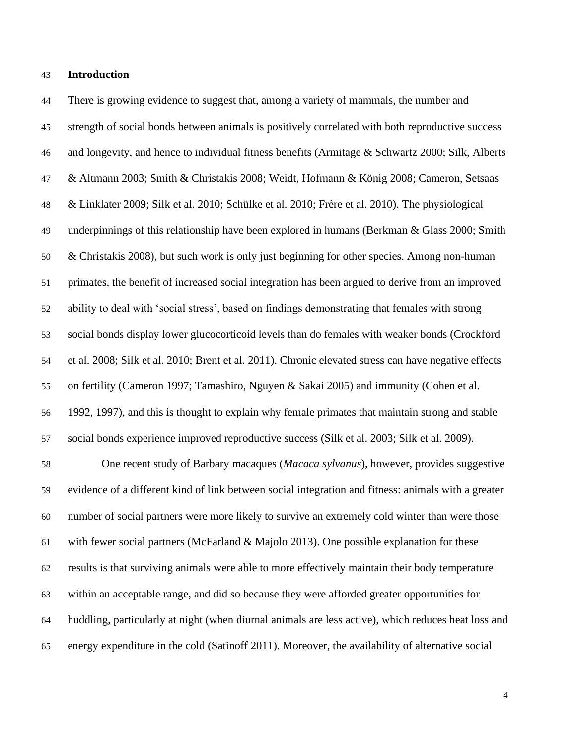## **Introduction**

 There is growing evidence to suggest that, among a variety of mammals, the number and strength of social bonds between animals is positively correlated with both reproductive success and longevity, and hence to individual fitness benefits (Armitage & Schwartz 2000; Silk, Alberts & Altmann 2003; Smith & Christakis 2008; Weidt, Hofmann & König 2008; Cameron, Setsaas & Linklater 2009; Silk et al. 2010; Schülke et al. 2010; Frère et al. 2010). The physiological underpinnings of this relationship have been explored in humans (Berkman & Glass 2000; Smith & Christakis 2008), but such work is only just beginning for other species. Among non-human primates, the benefit of increased social integration has been argued to derive from an improved ability to deal with 'social stress', based on findings demonstrating that females with strong social bonds display lower glucocorticoid levels than do females with weaker bonds (Crockford et al. 2008; Silk et al. 2010; Brent et al. 2011). Chronic elevated stress can have negative effects on fertility (Cameron 1997; Tamashiro, Nguyen & Sakai 2005) and immunity (Cohen et al. 1992, 1997), and this is thought to explain why female primates that maintain strong and stable social bonds experience improved reproductive success (Silk et al. 2003; Silk et al. 2009).

 One recent study of Barbary macaques (*Macaca sylvanus*), however, provides suggestive evidence of a different kind of link between social integration and fitness: animals with a greater number of social partners were more likely to survive an extremely cold winter than were those with fewer social partners (McFarland & Majolo 2013). One possible explanation for these results is that surviving animals were able to more effectively maintain their body temperature within an acceptable range, and did so because they were afforded greater opportunities for huddling, particularly at night (when diurnal animals are less active), which reduces heat loss and energy expenditure in the cold (Satinoff 2011). Moreover, the availability of alternative social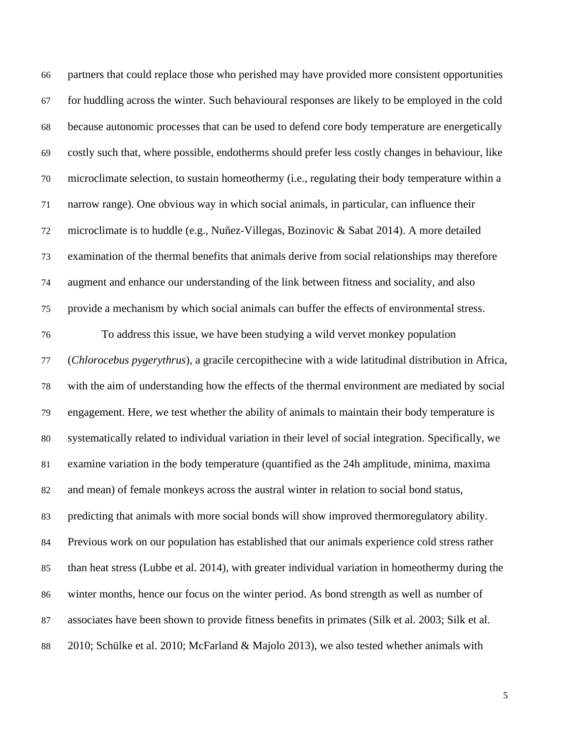| 66 | partners that could replace those who perished may have provided more consistent opportunities        |
|----|-------------------------------------------------------------------------------------------------------|
| 67 | for huddling across the winter. Such behavioural responses are likely to be employed in the cold      |
| 68 | because autonomic processes that can be used to defend core body temperature are energetically        |
| 69 | costly such that, where possible, endotherms should prefer less costly changes in behaviour, like     |
| 70 | microclimate selection, to sustain homeothermy (i.e., regulating their body temperature within a      |
| 71 | narrow range). One obvious way in which social animals, in particular, can influence their            |
| 72 | microclimate is to huddle (e.g., Nuñez-Villegas, Bozinovic & Sabat 2014). A more detailed             |
| 73 | examination of the thermal benefits that animals derive from social relationships may therefore       |
| 74 | augment and enhance our understanding of the link between fitness and sociality, and also             |
| 75 | provide a mechanism by which social animals can buffer the effects of environmental stress.           |
| 76 | To address this issue, we have been studying a wild vervet monkey population                          |
| 77 | (Chlorocebus pygerythrus), a gracile cercopithecine with a wide latitudinal distribution in Africa,   |
| 78 | with the aim of understanding how the effects of the thermal environment are mediated by social       |
| 79 | engagement. Here, we test whether the ability of animals to maintain their body temperature is        |
| 80 | systematically related to individual variation in their level of social integration. Specifically, we |
| 81 | examine variation in the body temperature (quantified as the 24h amplitude, minima, maxima            |
| 82 | and mean) of female monkeys across the austral winter in relation to social bond status,              |
| 83 | predicting that animals with more social bonds will show improved thermoregulatory ability.           |
| 84 | Previous work on our population has established that our animals experience cold stress rather        |
| 85 | than heat stress (Lubbe et al. 2014), with greater individual variation in homeothermy during the     |
| 86 | winter months, hence our focus on the winter period. As bond strength as well as number of            |
| 87 | associates have been shown to provide fitness benefits in primates (Silk et al. 2003; Silk et al.     |
| 88 | 2010; Schülke et al. 2010; McFarland & Majolo 2013), we also tested whether animals with              |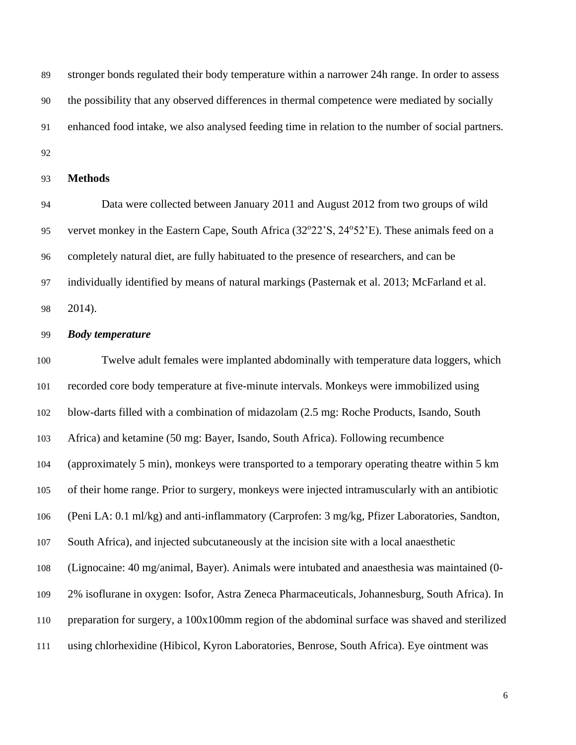stronger bonds regulated their body temperature within a narrower 24h range. In order to assess the possibility that any observed differences in thermal competence were mediated by socially enhanced food intake, we also analysed feeding time in relation to the number of social partners. 

## **Methods**

 Data were collected between January 2011 and August 2012 from two groups of wild 95 vervet monkey in the Eastern Cape, South Africa (32°22'S, 24°52'E). These animals feed on a completely natural diet, are fully habituated to the presence of researchers, and can be individually identified by means of natural markings (Pasternak et al. 2013; McFarland et al. 2014).

## *Body temperature*

 Twelve adult females were implanted abdominally with temperature data loggers, which recorded core body temperature at five-minute intervals. Monkeys were immobilized using blow-darts filled with a combination of midazolam (2.5 mg: Roche Products, Isando, South Africa) and ketamine (50 mg: Bayer, Isando, South Africa). Following recumbence (approximately 5 min), monkeys were transported to a temporary operating theatre within 5 km of their home range. Prior to surgery, monkeys were injected intramuscularly with an antibiotic (Peni LA: 0.1 ml/kg) and anti-inflammatory (Carprofen: 3 mg/kg, Pfizer Laboratories, Sandton, South Africa), and injected subcutaneously at the incision site with a local anaesthetic (Lignocaine: 40 mg/animal, Bayer). Animals were intubated and anaesthesia was maintained (0- 2% isoflurane in oxygen: Isofor, Astra Zeneca Pharmaceuticals, Johannesburg, South Africa). In preparation for surgery, a 100x100mm region of the abdominal surface was shaved and sterilized using chlorhexidine (Hibicol, Kyron Laboratories, Benrose, South Africa). Eye ointment was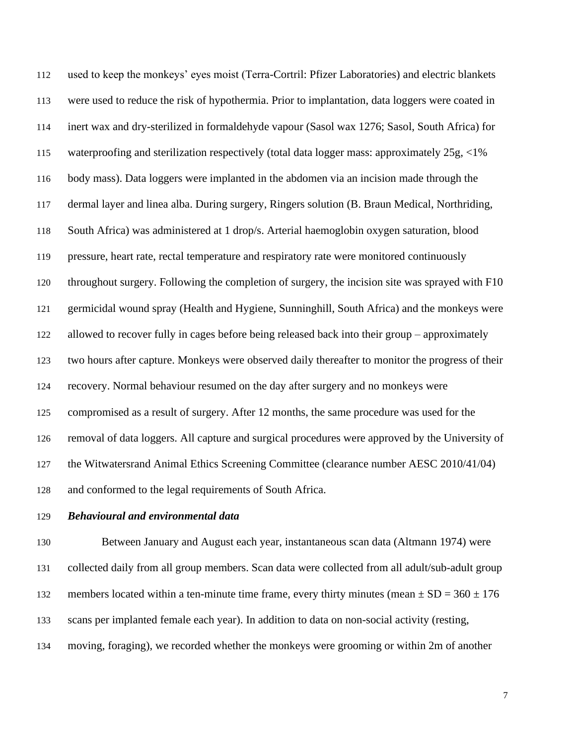used to keep the monkeys' eyes moist (Terra-Cortril: Pfizer Laboratories) and electric blankets were used to reduce the risk of hypothermia. Prior to implantation, data loggers were coated in inert wax and dry-sterilized in formaldehyde vapour (Sasol wax 1276; Sasol, South Africa) for waterproofing and sterilization respectively (total data logger mass: approximately 25g, <1% body mass). Data loggers were implanted in the abdomen via an incision made through the dermal layer and linea alba. During surgery, Ringers solution (B. Braun Medical, Northriding, South Africa) was administered at 1 drop/s. Arterial haemoglobin oxygen saturation, blood pressure, heart rate, rectal temperature and respiratory rate were monitored continuously throughout surgery. Following the completion of surgery, the incision site was sprayed with F10 germicidal wound spray (Health and Hygiene, Sunninghill, South Africa) and the monkeys were allowed to recover fully in cages before being released back into their group – approximately two hours after capture. Monkeys were observed daily thereafter to monitor the progress of their recovery. Normal behaviour resumed on the day after surgery and no monkeys were compromised as a result of surgery. After 12 months, the same procedure was used for the removal of data loggers. All capture and surgical procedures were approved by the University of the Witwatersrand Animal Ethics Screening Committee (clearance number AESC 2010/41/04) and conformed to the legal requirements of South Africa.

## *Behavioural and environmental data*

 Between January and August each year, instantaneous scan data (Altmann 1974) were collected daily from all group members. Scan data were collected from all adult/sub-adult group 132 members located within a ten-minute time frame, every thirty minutes (mean  $\pm$  SD = 360  $\pm$  176 scans per implanted female each year). In addition to data on non-social activity (resting, moving, foraging), we recorded whether the monkeys were grooming or within 2m of another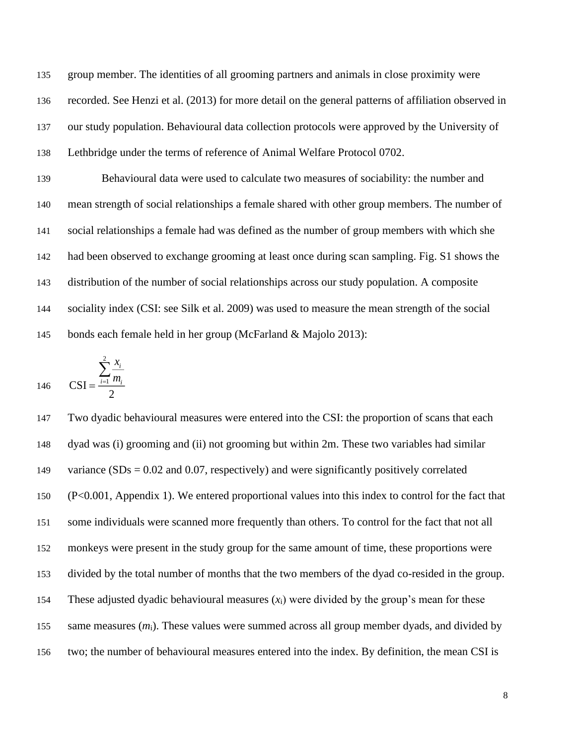group member. The identities of all grooming partners and animals in close proximity were recorded. See Henzi et al. (2013) for more detail on the general patterns of affiliation observed in our study population. Behavioural data collection protocols were approved by the University of Lethbridge under the terms of reference of Animal Welfare Protocol 0702.

 Behavioural data were used to calculate two measures of sociability: the number and mean strength of social relationships a female shared with other group members. The number of social relationships a female had was defined as the number of group members with which she had been observed to exchange grooming at least once during scan sampling. Fig. S1 shows the distribution of the number of social relationships across our study population. A composite sociality index (CSI: see Silk et al. 2009) was used to measure the mean strength of the social bonds each female held in her group (McFarland & Majolo 2013):

$$
146 \qquad \text{CSI} = \frac{\sum_{i=1}^{2} \frac{x_i}{m_i}}{2}
$$

 Two dyadic behavioural measures were entered into the CSI: the proportion of scans that each dyad was (i) grooming and (ii) not grooming but within 2m. These two variables had similar 149 variance  $(SDs = 0.02$  and 0.07, respectively) and were significantly positively correlated (P<0.001, Appendix 1). We entered proportional values into this index to control for the fact that some individuals were scanned more frequently than others. To control for the fact that not all monkeys were present in the study group for the same amount of time, these proportions were divided by the total number of months that the two members of the dyad co-resided in the group. 154 These adjusted dyadic behavioural measures  $(x_i)$  were divided by the group's mean for these 155 same measures  $(m_i)$ . These values were summed across all group member dyads, and divided by two; the number of behavioural measures entered into the index. By definition, the mean CSI is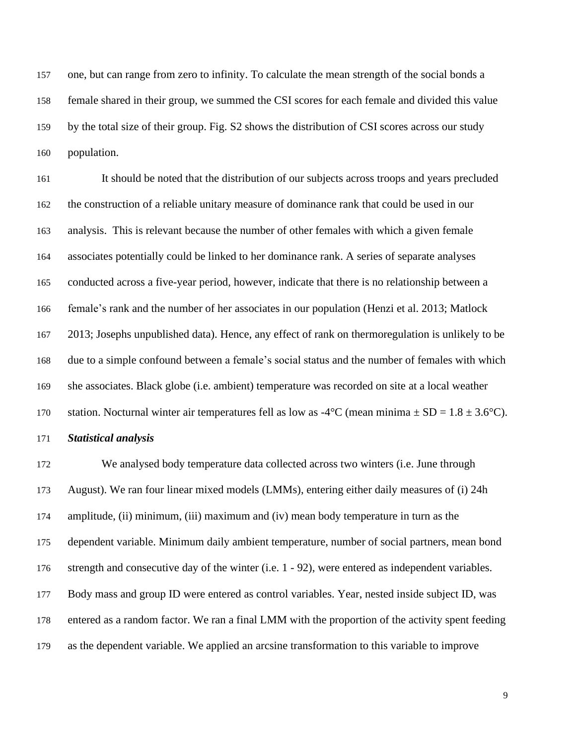one, but can range from zero to infinity. To calculate the mean strength of the social bonds a female shared in their group, we summed the CSI scores for each female and divided this value by the total size of their group. Fig. S2 shows the distribution of CSI scores across our study population.

 It should be noted that the distribution of our subjects across troops and years precluded the construction of a reliable unitary measure of dominance rank that could be used in our analysis. This is relevant because the number of other females with which a given female associates potentially could be linked to her dominance rank. A series of separate analyses conducted across a five-year period, however, indicate that there is no relationship between a female's rank and the number of her associates in our population (Henzi et al. 2013; Matlock 2013; Josephs unpublished data). Hence, any effect of rank on thermoregulation is unlikely to be due to a simple confound between a female's social status and the number of females with which she associates. Black globe (i.e. ambient) temperature was recorded on site at a local weather 170 station. Nocturnal winter air temperatures fell as low as  $-4^{\circ}C$  (mean minima  $\pm SD = 1.8 \pm 3.6^{\circ}C$ ).

## *Statistical analysis*

 We analysed body temperature data collected across two winters (i.e. June through August). We ran four linear mixed models (LMMs), entering either daily measures of (i) 24h amplitude, (ii) minimum, (iii) maximum and (iv) mean body temperature in turn as the dependent variable. Minimum daily ambient temperature, number of social partners, mean bond strength and consecutive day of the winter (i.e. 1 - 92), were entered as independent variables. Body mass and group ID were entered as control variables. Year, nested inside subject ID, was entered as a random factor. We ran a final LMM with the proportion of the activity spent feeding as the dependent variable. We applied an arcsine transformation to this variable to improve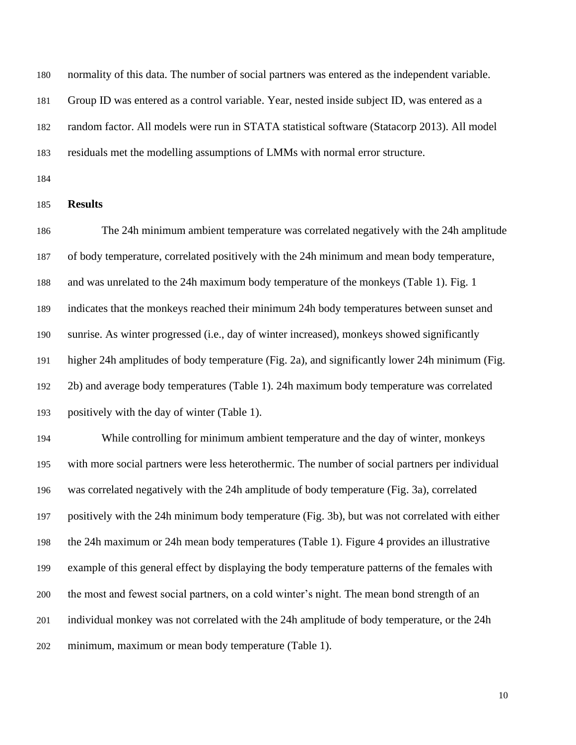normality of this data. The number of social partners was entered as the independent variable. Group ID was entered as a control variable. Year, nested inside subject ID, was entered as a

random factor. All models were run in STATA statistical software (Statacorp 2013). All model

residuals met the modelling assumptions of LMMs with normal error structure.

## **Results**

 The 24h minimum ambient temperature was correlated negatively with the 24h amplitude of body temperature, correlated positively with the 24h minimum and mean body temperature, and was unrelated to the 24h maximum body temperature of the monkeys (Table 1). Fig. 1 indicates that the monkeys reached their minimum 24h body temperatures between sunset and sunrise. As winter progressed (i.e., day of winter increased), monkeys showed significantly higher 24h amplitudes of body temperature (Fig. 2a), and significantly lower 24h minimum (Fig. 2b) and average body temperatures (Table 1). 24h maximum body temperature was correlated positively with the day of winter (Table 1).

 While controlling for minimum ambient temperature and the day of winter, monkeys with more social partners were less heterothermic. The number of social partners per individual was correlated negatively with the 24h amplitude of body temperature (Fig. 3a), correlated positively with the 24h minimum body temperature (Fig. 3b), but was not correlated with either the 24h maximum or 24h mean body temperatures (Table 1). Figure 4 provides an illustrative example of this general effect by displaying the body temperature patterns of the females with the most and fewest social partners, on a cold winter's night. The mean bond strength of an individual monkey was not correlated with the 24h amplitude of body temperature, or the 24h minimum, maximum or mean body temperature (Table 1).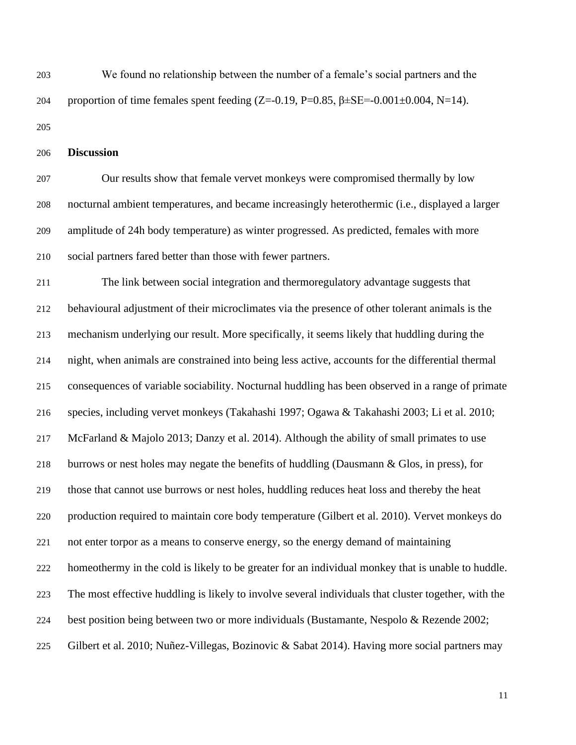We found no relationship between the number of a female's social partners and the 204 proportion of time females spent feeding  $(Z=-0.19, P=0.85, \beta \pm SE=-0.001\pm0.004, N=14)$ .

**Discussion**

 Our results show that female vervet monkeys were compromised thermally by low nocturnal ambient temperatures, and became increasingly heterothermic (i.e., displayed a larger amplitude of 24h body temperature) as winter progressed. As predicted, females with more social partners fared better than those with fewer partners.

 The link between social integration and thermoregulatory advantage suggests that behavioural adjustment of their microclimates via the presence of other tolerant animals is the mechanism underlying our result. More specifically, it seems likely that huddling during the night, when animals are constrained into being less active, accounts for the differential thermal consequences of variable sociability. Nocturnal huddling has been observed in a range of primate species, including vervet monkeys (Takahashi 1997; Ogawa & Takahashi 2003; Li et al. 2010; McFarland & Majolo 2013; Danzy et al. 2014). Although the ability of small primates to use burrows or nest holes may negate the benefits of huddling (Dausmann & Glos, in press), for those that cannot use burrows or nest holes, huddling reduces heat loss and thereby the heat production required to maintain core body temperature (Gilbert et al. 2010). Vervet monkeys do not enter torpor as a means to conserve energy, so the energy demand of maintaining homeothermy in the cold is likely to be greater for an individual monkey that is unable to huddle. The most effective huddling is likely to involve several individuals that cluster together, with the best position being between two or more individuals (Bustamante, Nespolo & Rezende 2002; Gilbert et al. 2010; Nuñez-Villegas, Bozinovic & Sabat 2014). Having more social partners may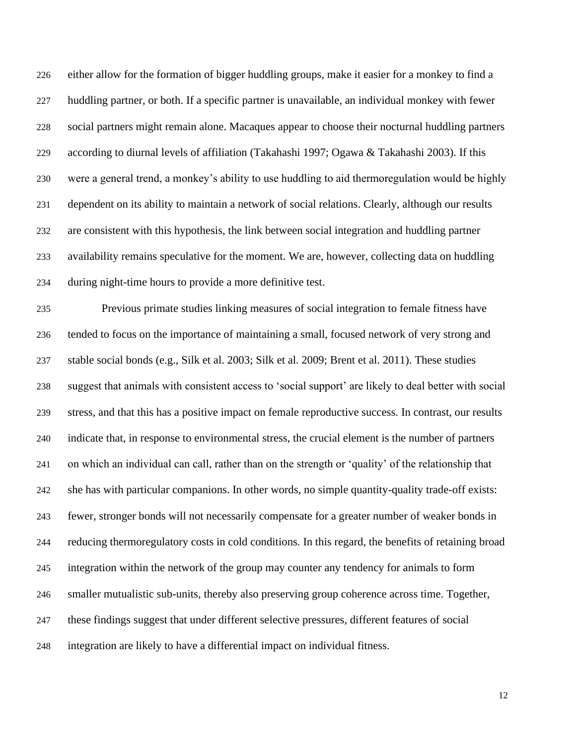either allow for the formation of bigger huddling groups, make it easier for a monkey to find a huddling partner, or both. If a specific partner is unavailable, an individual monkey with fewer social partners might remain alone. Macaques appear to choose their nocturnal huddling partners according to diurnal levels of affiliation (Takahashi 1997; Ogawa & Takahashi 2003). If this were a general trend, a monkey's ability to use huddling to aid thermoregulation would be highly dependent on its ability to maintain a network of social relations. Clearly, although our results are consistent with this hypothesis, the link between social integration and huddling partner availability remains speculative for the moment. We are, however, collecting data on huddling during night-time hours to provide a more definitive test.

 Previous primate studies linking measures of social integration to female fitness have tended to focus on the importance of maintaining a small, focused network of very strong and stable social bonds (e.g., Silk et al. 2003; Silk et al. 2009; Brent et al. 2011). These studies suggest that animals with consistent access to 'social support' are likely to deal better with social stress, and that this has a positive impact on female reproductive success. In contrast, our results indicate that, in response to environmental stress, the crucial element is the number of partners on which an individual can call, rather than on the strength or 'quality' of the relationship that she has with particular companions. In other words, no simple quantity-quality trade-off exists: fewer, stronger bonds will not necessarily compensate for a greater number of weaker bonds in reducing thermoregulatory costs in cold conditions. In this regard, the benefits of retaining broad integration within the network of the group may counter any tendency for animals to form smaller mutualistic sub-units, thereby also preserving group coherence across time. Together, these findings suggest that under different selective pressures, different features of social integration are likely to have a differential impact on individual fitness.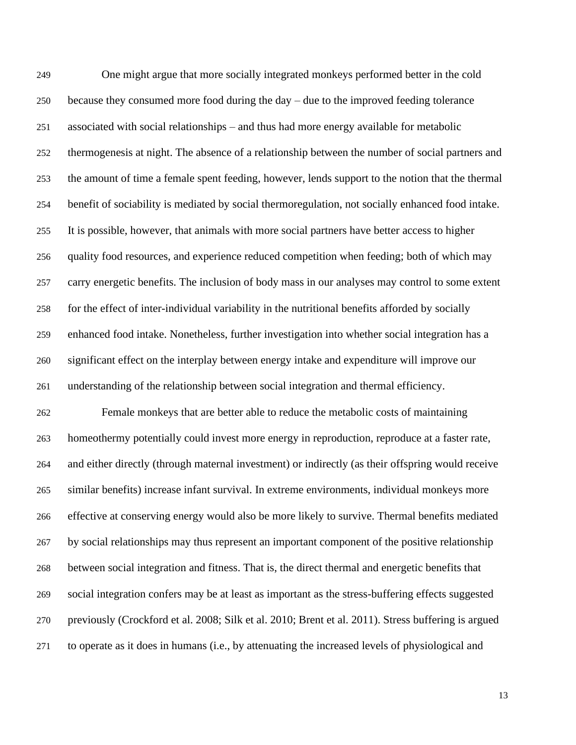One might argue that more socially integrated monkeys performed better in the cold because they consumed more food during the day – due to the improved feeding tolerance associated with social relationships – and thus had more energy available for metabolic thermogenesis at night. The absence of a relationship between the number of social partners and the amount of time a female spent feeding, however, lends support to the notion that the thermal benefit of sociability is mediated by social thermoregulation, not socially enhanced food intake. It is possible, however, that animals with more social partners have better access to higher quality food resources, and experience reduced competition when feeding; both of which may carry energetic benefits. The inclusion of body mass in our analyses may control to some extent for the effect of inter-individual variability in the nutritional benefits afforded by socially enhanced food intake. Nonetheless, further investigation into whether social integration has a significant effect on the interplay between energy intake and expenditure will improve our understanding of the relationship between social integration and thermal efficiency. Female monkeys that are better able to reduce the metabolic costs of maintaining homeothermy potentially could invest more energy in reproduction, reproduce at a faster rate, and either directly (through maternal investment) or indirectly (as their offspring would receive similar benefits) increase infant survival. In extreme environments, individual monkeys more effective at conserving energy would also be more likely to survive. Thermal benefits mediated by social relationships may thus represent an important component of the positive relationship between social integration and fitness. That is, the direct thermal and energetic benefits that social integration confers may be at least as important as the stress-buffering effects suggested previously (Crockford et al. 2008; Silk et al. 2010; Brent et al. 2011). Stress buffering is argued to operate as it does in humans (i.e., by attenuating the increased levels of physiological and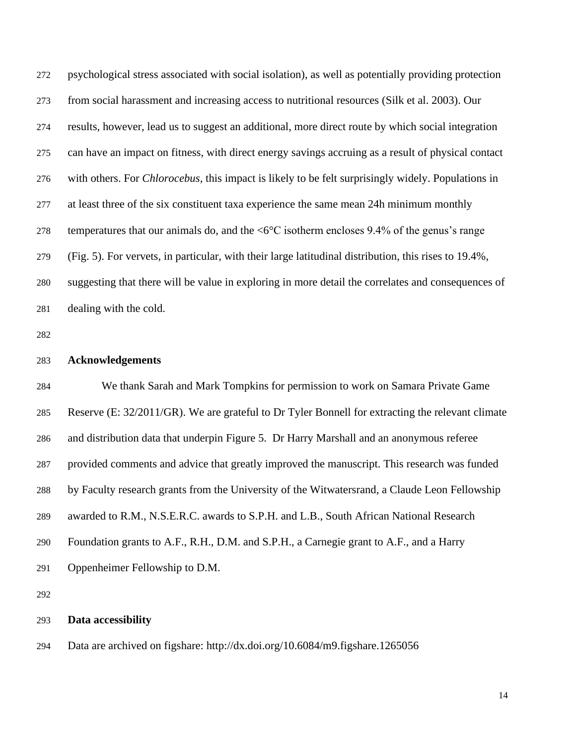psychological stress associated with social isolation), as well as potentially providing protection from social harassment and increasing access to nutritional resources (Silk et al. 2003). Our results, however, lead us to suggest an additional, more direct route by which social integration can have an impact on fitness, with direct energy savings accruing as a result of physical contact with others. For *Chlorocebus*, this impact is likely to be felt surprisingly widely. Populations in at least three of the six constituent taxa experience the same mean 24h minimum monthly 278 temperatures that our animals do, and the  $\langle 6^{\circ}$ C isotherm encloses 9.4% of the genus's range (Fig. 5). For vervets, in particular, with their large latitudinal distribution, this rises to 19.4%, suggesting that there will be value in exploring in more detail the correlates and consequences of dealing with the cold.

## **Acknowledgements**

 We thank Sarah and Mark Tompkins for permission to work on Samara Private Game Reserve (E: 32/2011/GR). We are grateful to Dr Tyler Bonnell for extracting the relevant climate and distribution data that underpin Figure 5. Dr Harry Marshall and an anonymous referee provided comments and advice that greatly improved the manuscript. This research was funded by Faculty research grants from the University of the Witwatersrand, a Claude Leon Fellowship awarded to R.M., N.S.E.R.C. awards to S.P.H. and L.B., South African National Research Foundation grants to A.F., R.H., D.M. and S.P.H., a Carnegie grant to A.F., and a Harry Oppenheimer Fellowship to D.M.

## **Data accessibility**

Data are archived on figshare: http://dx.doi.org/10.6084/m9.figshare.1265056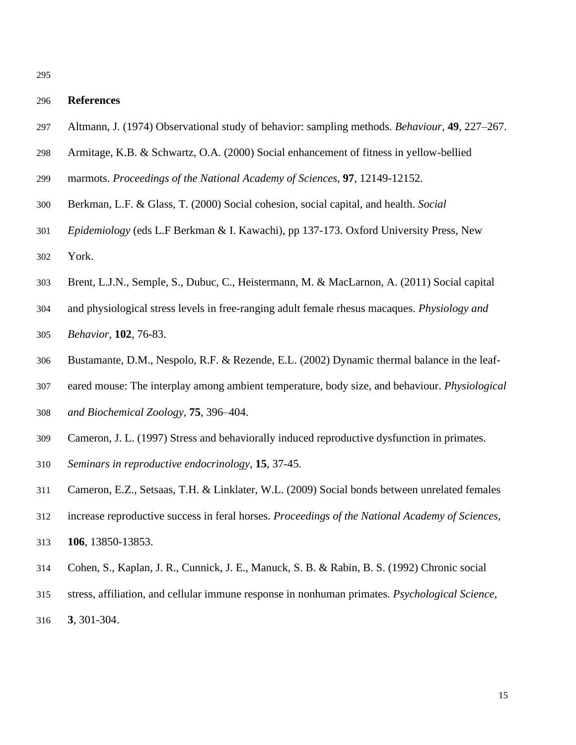## **References**

- Altmann, J. (1974) Observational study of behavior: sampling methods. *Behaviour*, **49**, 227–267.
- Armitage, K.B. & Schwartz, O.A. (2000) Social enhancement of fitness in yellow-bellied
- marmots. *Proceedings of the National Academy of Sciences*, **97**, 12149-12152.
- Berkman, L.F. & Glass, T. (2000) Social cohesion, social capital, and health. *Social*
- *Epidemiology* (eds L.F Berkman & I. Kawachi), pp 137-173. Oxford University Press, New York.
- Brent, L.J.N., Semple, S., Dubuc, C., Heistermann, M. & MacLarnon, A. (2011) Social capital
- and physiological stress levels in free-ranging adult female rhesus macaques. *Physiology and*
- *Behavior*, **102**, 76-83.
- Bustamante, D.M., Nespolo, R.F. & Rezende, E.L. (2002) Dynamic thermal balance in the leaf-
- eared mouse: The interplay among ambient temperature, body size, and behaviour. *Physiological*
- *and Biochemical Zoology*, **75**, 396–404.
- Cameron, J. L. (1997) Stress and behaviorally induced reproductive dysfunction in primates.
- *Seminars in reproductive endocrinology*, **15**, 37-45.
- Cameron, E.Z., Setsaas, T.H. & Linklater, W.L. (2009) Social bonds between unrelated females
- increase reproductive success in feral horses. *Proceedings of the National Academy of Sciences*, **106**, 13850-13853.
- Cohen, S., Kaplan, J. R., Cunnick, J. E., Manuck, S. B. & Rabin, B. S. (1992) Chronic social
- stress, affiliation, and cellular immune response in nonhuman primates. *Psychological Science*,
- **3**, 301-304.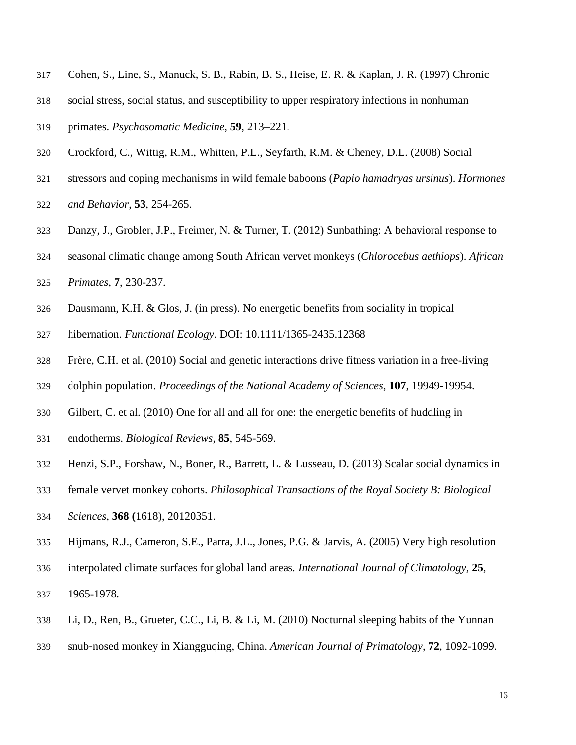- Cohen, S., Line, S., Manuck, S. B., Rabin, B. S., Heise, E. R. & Kaplan, J. R. (1997) Chronic
- social stress, social status, and susceptibility to upper respiratory infections in nonhuman
- primates. *Psychosomatic Medicine*, **59**, 213–221.
- Crockford, C., Wittig, R.M., Whitten, P.L., Seyfarth, R.M. & Cheney, D.L. (2008) Social
- stressors and coping mechanisms in wild female baboons (*Papio hamadryas ursinus*). *Hormones*
- *and Behavior*, **53**, 254-265.
- Danzy, J., Grobler, J.P., Freimer, N. & Turner, T. (2012) Sunbathing: A behavioral response to
- seasonal climatic change among South African vervet monkeys (*Chlorocebus aethiops*). *African*
- *Primates*, **7**, 230-237.
- Dausmann, K.H. & Glos, J. (in press). No energetic benefits from sociality in tropical
- hibernation. *Functional Ecology*. DOI: 10.1111/1365-2435.12368
- Frère, C.H. et al. (2010) Social and genetic interactions drive fitness variation in a free-living
- dolphin population. *Proceedings of the National Academy of Sciences*, **107**, 19949-19954.
- Gilbert, C. et al. (2010) One for all and all for one: the energetic benefits of huddling in
- endotherms. *Biological Reviews*, **85**, 545-569.
- Henzi, S.P., Forshaw, N., Boner, R., Barrett, L. & Lusseau, D. (2013) Scalar social dynamics in
- female vervet monkey cohorts. *Philosophical Transactions of the Royal Society B: Biological*
- *Sciences*, **368 (**1618), 20120351.
- Hijmans, R.J., Cameron, S.E., Parra, J.L., Jones, P.G. & Jarvis, A. (2005) Very high resolution
- interpolated climate surfaces for global land areas. *[International Journal of Climatology,](http://onlinelibrary.wiley.com/doi/10.1002/joc.1276/pdf)* **25***,*
- [1965-1978](http://onlinelibrary.wiley.com/doi/10.1002/joc.1276/pdf)*.*
- Li, D., Ren, B., Grueter, C.C., Li, B. & Li, M. (2010) Nocturnal sleeping habits of the Yunnan
- snub‐nosed monkey in Xiangguqing, China. *American Journal of Primatology*, **72**, 1092-1099.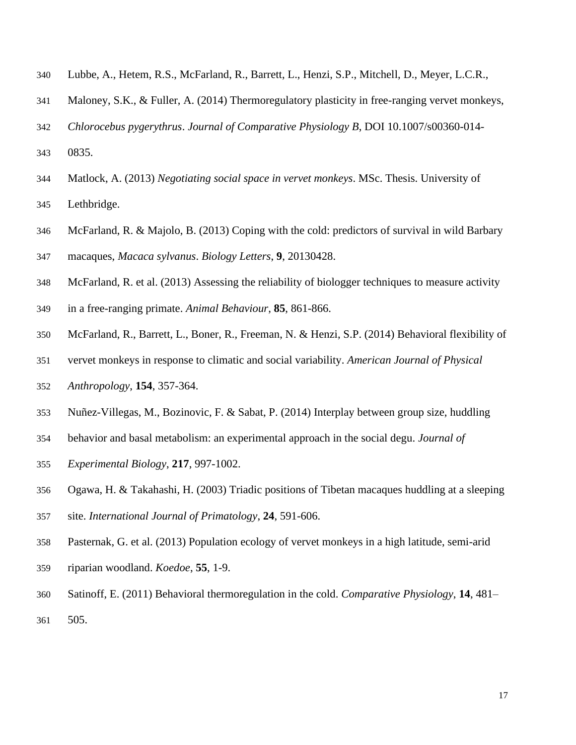- Lubbe, A., Hetem, R.S., McFarland, R., Barrett, L., Henzi, S.P., Mitchell, D., Meyer, L.C.R.,
- Maloney, S.K., & Fuller, A. (2014) Thermoregulatory plasticity in free-ranging vervet monkeys,
- *Chlorocebus pygerythrus*. *Journal of Comparative Physiology B*, DOI 10.1007/s00360-014-
- 0835.
- Matlock, A. (2013) *Negotiating social space in vervet monkeys*. MSc. Thesis. University of
- Lethbridge.
- McFarland, R. & Majolo, B. (2013) Coping with the cold: predictors of survival in wild Barbary macaques, *Macaca sylvanus*. *Biology Letters*, **9**, 20130428.
- McFarland, R. et al. (2013) Assessing the reliability of biologger techniques to measure activity
- in a free-ranging primate. *Animal Behaviour*, **85**, 861-866.
- McFarland, R., Barrett, L., Boner, R., Freeman, N. & Henzi, S.P. (2014) Behavioral flexibility of
- vervet monkeys in response to climatic and social variability. *American Journal of Physical*
- *Anthropology*, **154**, 357-364.
- Nuñez-Villegas, M., Bozinovic, F. & Sabat, P. (2014) Interplay between group size, huddling
- behavior and basal metabolism: an experimental approach in the social degu. *Journal of*
- *Experimental Biology*, **217**, 997-1002.
- Ogawa, H. & Takahashi, H. (2003) Triadic positions of Tibetan macaques huddling at a sleeping
- site. *International Journal of Primatology*, **24**, 591-606.
- Pasternak, G. et al. (2013) Population ecology of vervet monkeys in a high latitude, semi-arid
- riparian woodland. *Koedoe*, **55**, 1-9.
- Satinoff, E. (2011) Behavioral thermoregulation in the cold. *Comparative Physiology*, **14**, 481– 505.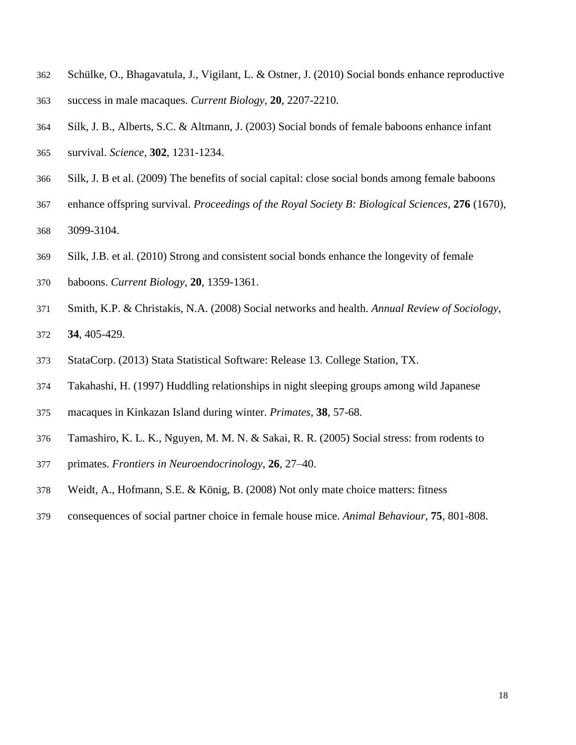- Schülke, O., Bhagavatula, J., Vigilant, L. & Ostner, J. (2010) Social bonds enhance reproductive
- success in male macaques. *Current Biology*, **20**, 2207-2210.
- Silk, J. B., Alberts, S.C. & Altmann, J. (2003) Social bonds of female baboons enhance infant
- survival. *Science*, **302**, 1231-1234.
- Silk, J. B et al. (2009) The benefits of social capital: close social bonds among female baboons
- enhance offspring survival. *Proceedings of the Royal Society B: Biological Sciences*, **276** (1670),
- 3099-3104.
- Silk, J.B. et al. (2010) Strong and consistent social bonds enhance the longevity of female
- baboons. *Current Biology*, **20**, 1359-1361.
- Smith, K.P. & Christakis, N.A. (2008) Social networks and health. *Annual Review of Sociology*, **34**, 405-429.
- StataCorp. (2013) Stata Statistical Software: Release 13. College Station, TX.
- Takahashi, H. (1997) Huddling relationships in night sleeping groups among wild Japanese
- macaques in Kinkazan Island during winter. *Primates*, **38**, 57-68.
- Tamashiro, K. L. K., Nguyen, M. M. N. & Sakai, R. R. (2005) Social stress: from rodents to
- primates. *Frontiers in Neuroendocrinology*, **26**, 27–40.
- Weidt, A., Hofmann, S.E. & König, B. (2008) Not only mate choice matters: fitness
- consequences of social partner choice in female house mice. *Animal Behaviour*, **75**, 801-808.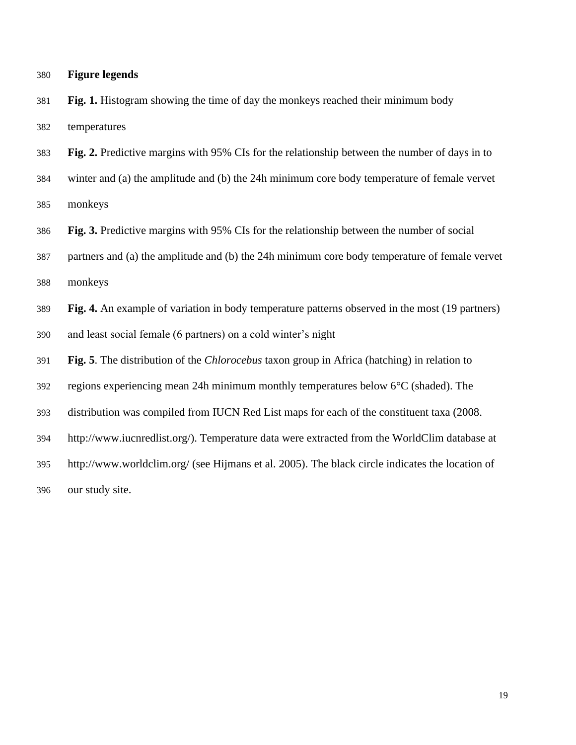| 380 | <b>Figure legends</b> |  |
|-----|-----------------------|--|
|     |                       |  |

 **Fig. 1.** Histogram showing the time of day the monkeys reached their minimum body temperatures

**Fig. 2.** Predictive margins with 95% CIs for the relationship between the number of days in to

 winter and (a) the amplitude and (b) the 24h minimum core body temperature of female vervet monkeys

**Fig. 3.** Predictive margins with 95% CIs for the relationship between the number of social

 partners and (a) the amplitude and (b) the 24h minimum core body temperature of female vervet monkeys

**Fig. 4.** An example of variation in body temperature patterns observed in the most (19 partners)

and least social female (6 partners) on a cold winter's night

**Fig. 5**. The distribution of the *Chlorocebus* taxon group in Africa (hatching) in relation to

regions experiencing mean 24h minimum monthly temperatures below 6°C (shaded). The

distribution was compiled from IUCN Red List maps for each of the constituent taxa (2008.

http://www.iucnredlist.org/). Temperature data were extracted from the WorldClim database at

http://www.worldclim.org/ (see Hijmans et al. 2005). The black circle indicates the location of

our study site.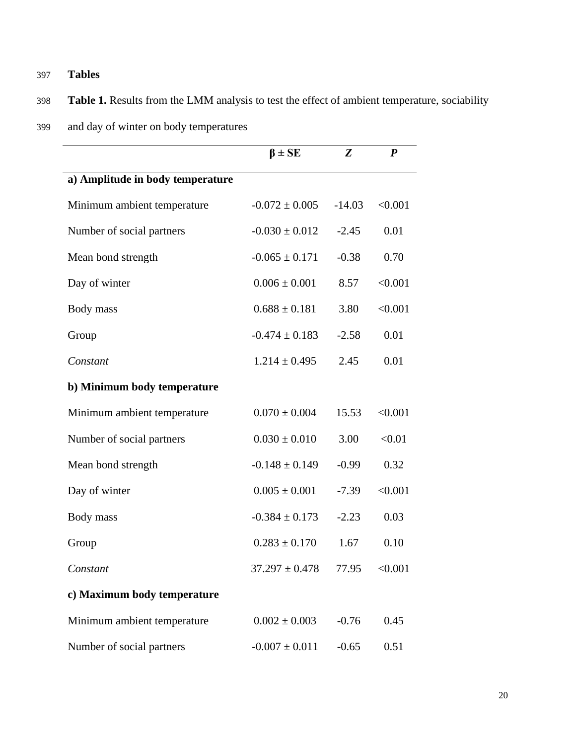# 397 **Tables**

# 398 **Table 1.** Results from the LMM analysis to test the effect of ambient temperature, sociability

399 and day of winter on body temperatures

|                                  | $\beta \pm SE$     | Z        | $\boldsymbol{P}$ |
|----------------------------------|--------------------|----------|------------------|
| a) Amplitude in body temperature |                    |          |                  |
| Minimum ambient temperature      | $-0.072 \pm 0.005$ | $-14.03$ | < 0.001          |
| Number of social partners        | $-0.030 \pm 0.012$ | $-2.45$  | 0.01             |
| Mean bond strength               | $-0.065 \pm 0.171$ | $-0.38$  | 0.70             |
| Day of winter                    | $0.006 \pm 0.001$  | 8.57     | < 0.001          |
| Body mass                        | $0.688 \pm 0.181$  | 3.80     | < 0.001          |
| Group                            | $-0.474 \pm 0.183$ | $-2.58$  | 0.01             |
| Constant                         | $1.214 \pm 0.495$  | 2.45     | 0.01             |
| b) Minimum body temperature      |                    |          |                  |
| Minimum ambient temperature      | $0.070 \pm 0.004$  | 15.53    | < 0.001          |
| Number of social partners        | $0.030 \pm 0.010$  | 3.00     | < 0.01           |
| Mean bond strength               | $-0.148 \pm 0.149$ | $-0.99$  | 0.32             |
| Day of winter                    | $0.005 \pm 0.001$  | $-7.39$  | < 0.001          |
| Body mass                        | $-0.384 \pm 0.173$ | $-2.23$  | 0.03             |
| Group                            | $0.283 \pm 0.170$  | 1.67     | 0.10             |
| Constant                         | $37.297 \pm 0.478$ | 77.95    | < 0.001          |
| c) Maximum body temperature      |                    |          |                  |
| Minimum ambient temperature      | $0.002 \pm 0.003$  | $-0.76$  | 0.45             |
| Number of social partners        | $-0.007 \pm 0.011$ | $-0.65$  | 0.51             |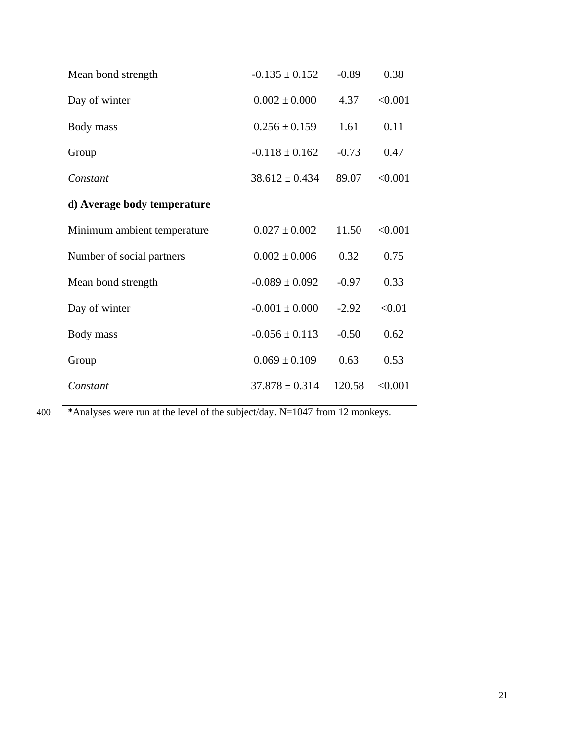| Mean bond strength          | $-0.135 \pm 0.152$ | $-0.89$ | 0.38    |
|-----------------------------|--------------------|---------|---------|
| Day of winter               | $0.002 \pm 0.000$  | 4.37    | < 0.001 |
| Body mass                   | $0.256 \pm 0.159$  | 1.61    | 0.11    |
| Group                       | $-0.118 \pm 0.162$ | $-0.73$ | 0.47    |
| Constant                    | $38.612 \pm 0.434$ | 89.07   | < 0.001 |
| d) Average body temperature |                    |         |         |
| Minimum ambient temperature | $0.027 \pm 0.002$  | 11.50   | < 0.001 |
| Number of social partners   | $0.002 \pm 0.006$  | 0.32    | 0.75    |
| Mean bond strength          | $-0.089 \pm 0.092$ | $-0.97$ | 0.33    |
| Day of winter               | $-0.001 \pm 0.000$ | $-2.92$ | < 0.01  |
| Body mass                   | $-0.056 \pm 0.113$ | $-0.50$ | 0.62    |
| Group                       | $0.069 \pm 0.109$  | 0.63    | 0.53    |
| Constant                    | $37.878 \pm 0.314$ | 120.58  | < 0.001 |

400 **\***Analyses were run at the level of the subject/day. N=1047 from 12 monkeys.